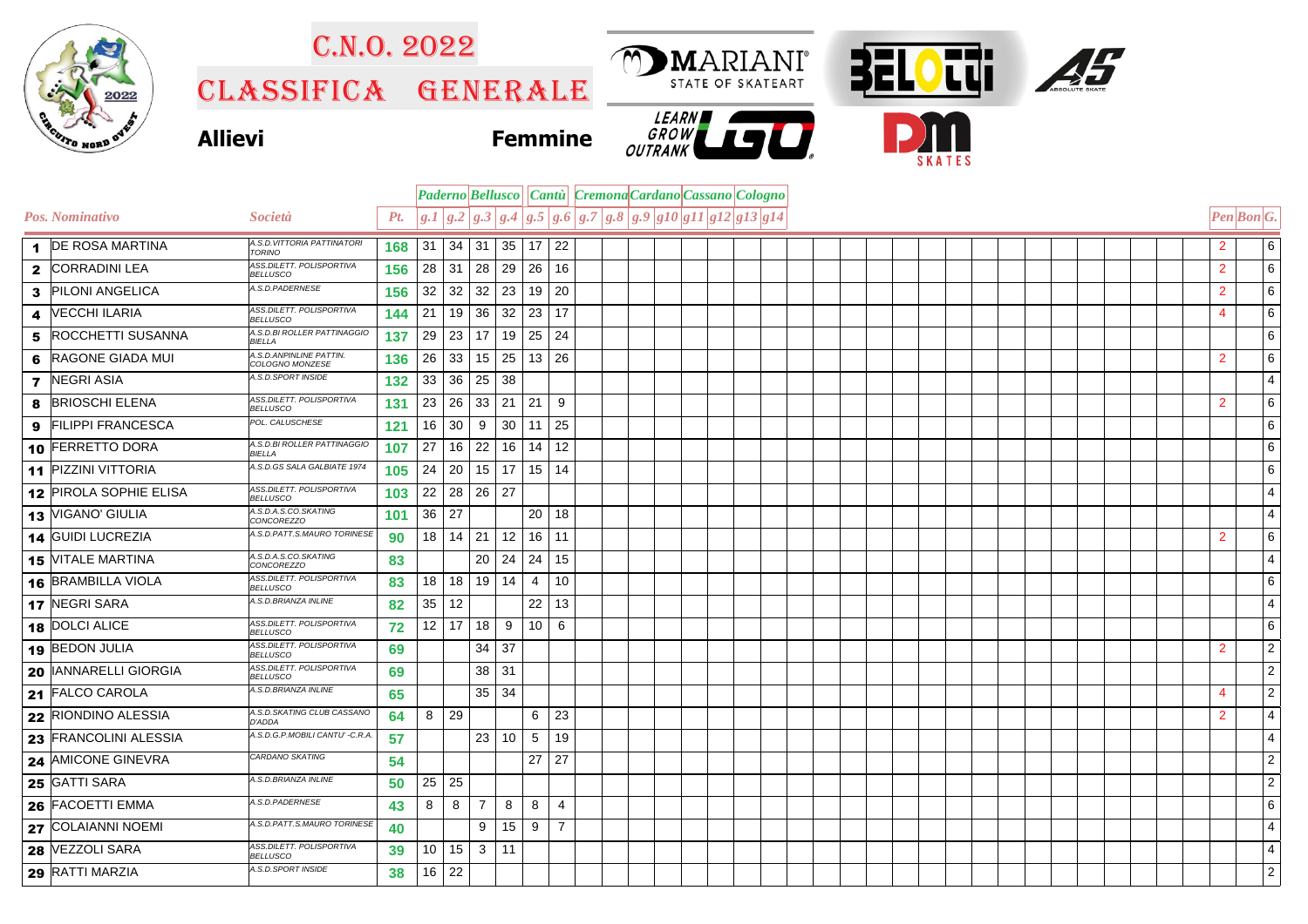